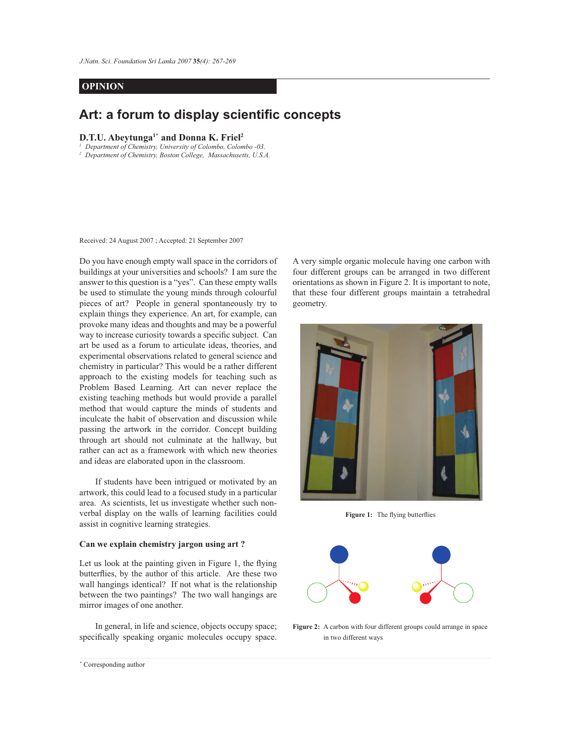*Art: a forum to display scientific concepts 267 J.Natn. Sci. Foundation Sri Lanka 2007* **35***(4): 267-269*

## **OPINION**

# **Art: a forum to display scientific concepts**

## **D.T.U. Abeytunga1\* and Donna K. Friel<sup>2</sup>**

*1 Department of Chemistry, University of Colombo, Colombo -03.*

*2 Department of Chemistry, Boston College, Massachusetts, U.S.A.*

Received: 24 August 2007 ; Accepted: 21 September 2007

Do you have enough empty wall space in the corridors of buildings at your universities and schools? I am sure the answer to this question is a "yes". Can these empty walls be used to stimulate the young minds through colourful pieces of art? People in general spontaneously try to explain things they experience. An art, for example, can provoke many ideas and thoughts and may be a powerful way to increase curiosity towards a specific subject. Can art be used as a forum to articulate ideas, theories, and experimental observations related to general science and chemistry in particular? This would be a rather different approach to the existing models for teaching such as Problem Based Learning. Art can never replace the existing teaching methods but would provide a parallel method that would capture the minds of students and inculcate the habit of observation and discussion while passing the artwork in the corridor. Concept building through art should not culminate at the hallway, but rather can act as a framework with which new theories and ideas are elaborated upon in the classroom.

 If students have been intrigued or motivated by an artwork, this could lead to a focused study in a particular area. As scientists, let us investigate whether such nonverbal display on the walls of learning facilities could assist in cognitive learning strategies.

#### **Can we explain chemistry jargon using art ?**

Let us look at the painting given in Figure 1, the flying butterflies, by the author of this article. Are these two wall hangings identical? If not what is the relationship between the two paintings? The two wall hangings are mirror images of one another.

 In general, in life and science, objects occupy space; specifically speaking organic molecules occupy space. A very simple organic molecule having one carbon with four different groups can be arranged in two different orientations as shown in Figure 2. It is important to note, that these four different groups maintain a tetrahedral geometry.



**Figure 1:** The flying butterflies



Figure 2: A carbon with four different groups could arrange in space in two different ways

*Journal of the National Science Foundation of Sri Lanka 35 (4) December 2007* \* Corresponding author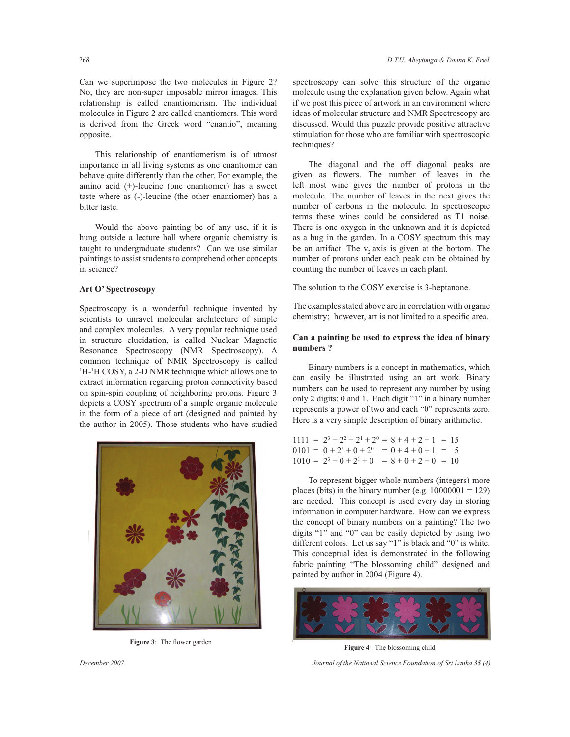Can we superimpose the two molecules in Figure 2? No, they are non-super imposable mirror images. This relationship is called enantiomerism. The individual molecules in Figure 2 are called enantiomers. This word is derived from the Greek word "enantio", meaning opposite.

 This relationship of enantiomerism is of utmost importance in all living systems as one enantiomer can behave quite differently than the other. For example, the amino acid (+)-leucine (one enantiomer) has a sweet taste where as (-)-leucine (the other enantiomer) has a bitter taste.

 Would the above painting be of any use, if it is hung outside a lecture hall where organic chemistry is taught to undergraduate students? Can we use similar paintings to assist students to comprehend other concepts in science?

#### **Art O' Spectroscopy**

Spectroscopy is a wonderful technique invented by scientists to unravel molecular architecture of simple and complex molecules. A very popular technique used in structure elucidation, is called Nuclear Magnetic Resonance Spectroscopy (NMR Spectroscopy). A common technique of NMR Spectroscopy is called <sup>1</sup>H-<sup>1</sup>H COSY, a 2-D NMR technique which allows one to extract information regarding proton connectivity based on spin-spin coupling of neighboring protons. Figure 3 depicts a COSY spectrum of a simple organic molecule in the form of a piece of art (designed and painted by the author in 2005). Those students who have studied



**Figure 3**: The flower garden

spectroscopy can solve this structure of the organic molecule using the explanation given below. Again what if we post this piece of artwork in an environment where ideas of molecular structure and NMR Spectroscopy are discussed. Would this puzzle provide positive attractive stimulation for those who are familiar with spectroscopic techniques?

 The diagonal and the off diagonal peaks are given as flowers. The number of leaves in the left most wine gives the number of protons in the molecule. The number of leaves in the next gives the number of carbons in the molecule. In spectroscopic terms these wines could be considered as T1 noise. There is one oxygen in the unknown and it is depicted as a bug in the garden. In a COSY spectrum this may be an artifact. The  $v_2$  axis is given at the bottom. The number of protons under each peak can be obtained by counting the number of leaves in each plant.

The solution to the COSY exercise is 3-heptanone.

The examples stated above are in correlation with organic chemistry; however, art is not limited to a specific area.

### **Can a painting be used to express the idea of binary numbers ?**

 Binary numbers is a concept in mathematics, which can easily be illustrated using an art work. Binary numbers can be used to represent any number by using only 2 digits: 0 and 1. Each digit "1" in a binary number represents a power of two and each "0" represents zero. Here is a very simple description of binary arithmetic.

| $1111 = 2^3 + 2^2 + 2^1 + 2^0 = 8 + 4 + 2 + 1 = 15$ |  |  |
|-----------------------------------------------------|--|--|
| $0101 = 0 + 2^2 + 0 + 2^0 = 0 + 4 + 0 + 1 = 5$      |  |  |
| $1010 = 2^3 + 0 + 2^1 + 0 = 8 + 0 + 2 + 0 = 10$     |  |  |

 To represent bigger whole numbers (integers) more places (bits) in the binary number (e.g.  $10000001 = 129$ ) are needed. This concept is used every day in storing information in computer hardware. How can we express the concept of binary numbers on a painting? The two digits "1" and "0" can be easily depicted by using two different colors. Let us say "1" is black and "0" is white. This conceptual idea is demonstrated in the following fabric painting "The blossoming child" designed and painted by author in 2004 (Figure 4).



**Figure 4***:* The blossoming child